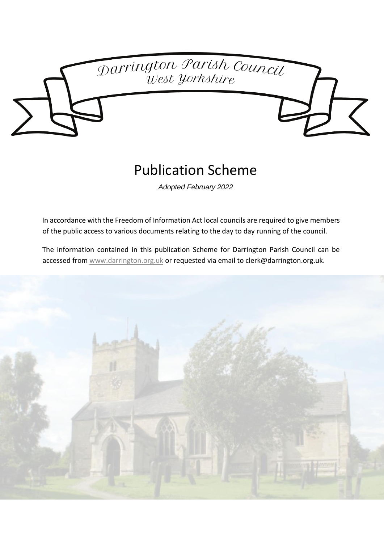

# Publication Scheme

*Adopted February 2022*

In accordance with the Freedom of Information Act local councils are required to give members of the public access to various documents relating to the day to day running of the council.

The information contained in this publication Scheme for Darrington Parish Council can be accessed fro[m www.darrington.org.uk](http://www.darrington.org.uk/) or requested via email to clerk@darrington.org.uk.

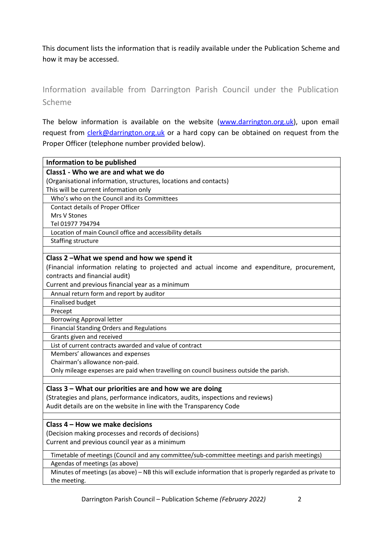This document lists the information that is readily available under the Publication Scheme and how it may be accessed.

Information available from Darrington Parish Council under the Publication Scheme

The below information is available on the website [\(www.darrington.org.uk\)](http://www.darrington.org.uk/), upon email request from *clerk@darrington.org.uk* or a hard copy can be obtained on request from the Proper Officer (telephone number provided below).

| Information to be published                                                                               |
|-----------------------------------------------------------------------------------------------------------|
| Class1 - Who we are and what we do                                                                        |
| (Organisational information, structures, locations and contacts)                                          |
| This will be current information only                                                                     |
| Who's who on the Council and its Committees                                                               |
| Contact details of Proper Officer                                                                         |
| Mrs V Stones                                                                                              |
| Tel 01977 794794                                                                                          |
| Location of main Council office and accessibility details                                                 |
| Staffing structure                                                                                        |
|                                                                                                           |
| Class 2-What we spend and how we spend it                                                                 |
| (Financial information relating to projected and actual income and expenditure, procurement,              |
| contracts and financial audit)                                                                            |
| Current and previous financial year as a minimum                                                          |
| Annual return form and report by auditor                                                                  |
| <b>Finalised budget</b>                                                                                   |
| Precept                                                                                                   |
| <b>Borrowing Approval letter</b>                                                                          |
| Financial Standing Orders and Regulations                                                                 |
| Grants given and received                                                                                 |
| List of current contracts awarded and value of contract                                                   |
| Members' allowances and expenses                                                                          |
| Chairman's allowance non-paid.                                                                            |
| Only mileage expenses are paid when travelling on council business outside the parish.                    |
|                                                                                                           |
| Class 3 – What our priorities are and how we are doing                                                    |
| (Strategies and plans, performance indicators, audits, inspections and reviews)                           |
| Audit details are on the website in line with the Transparency Code                                       |
|                                                                                                           |
| Class 4 - How we make decisions                                                                           |
| (Decision making processes and records of decisions)                                                      |
| Current and previous council year as a minimum                                                            |
| Timetable of meetings (Council and any committee/sub-committee meetings and parish meetings)              |
| Agendas of meetings (as above)                                                                            |
| Minutes of meetings (as above) - NB this will exclude information that is properly regarded as private to |
| the meeting.                                                                                              |